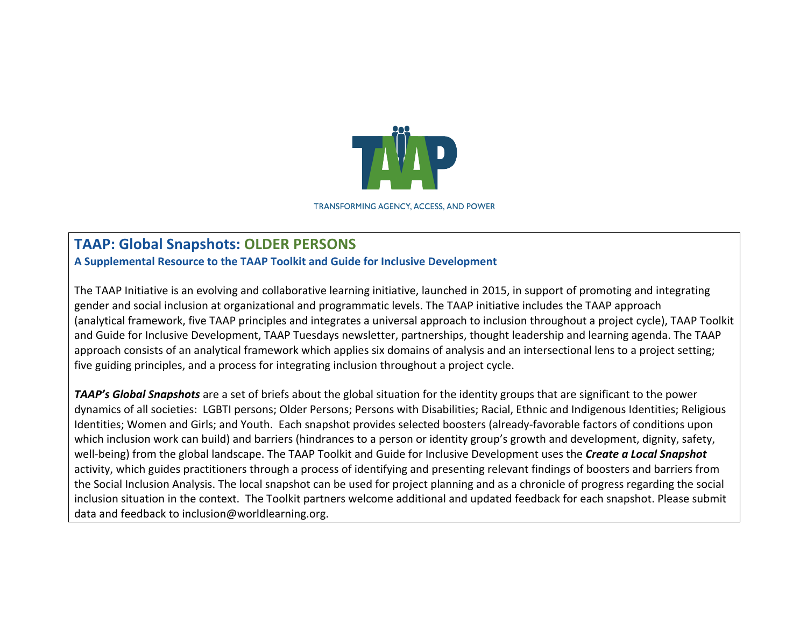

**TRANSFORMING AGENCY, ACCESS, AND POWER** 

## **TAAP: Global Snapshots: OLDER PERSONS**

**A Supplemental Resource to the TAAP Toolkit and Guide for Inclusive Development**

The TAAP Initiative is an evolving and collaborative learning initiative, launched in 2015, in support of promoting and integrating gender and social inclusion at organizational and programmatic levels. The TAAP initiative includes the TAAP approach (analytical framework, five TAAP principles and integrates a universal approach to inclusion throughout a project cycle), TAAP Toolkit and Guide for Inclusive Development, TAAP Tuesdays newsletter, partnerships, thought leadership and learning agenda. The TAAP approach consists of an analytical framework which applies six domains of analysis and an intersectional lens to a project setting; five guiding principles, and a process for integrating inclusion throughout a project cycle.

**TAAP's Global Snapshots** are a set of briefs about the global situation for the identity groups that are significant to the power dynamics of all societies: LGBTI persons; Older Persons; Persons with Disabilities; Racial, Ethnic and Indigenous Identities; Religious Identities; Women and Girls; and Youth. Each snapshot provides selected boosters (already-favorable factors of conditions upon which inclusion work can build) and barriers (hindrances to a person or identity group's growth and development, dignity, safety, well-being) from the global landscape. The TAAP Toolkit and Guide for Inclusive Development uses the **Create a Local Snapshot** activity, which guides practitioners through a process of identifying and presenting relevant findings of boosters and barriers from the Social Inclusion Analysis. The local snapshot can be used for project planning and as a chronicle of progress regarding the social inclusion situation in the context. The Toolkit partners welcome additional and updated feedback for each snapshot. Please submit data and feedback to inclusion@worldlearning.org.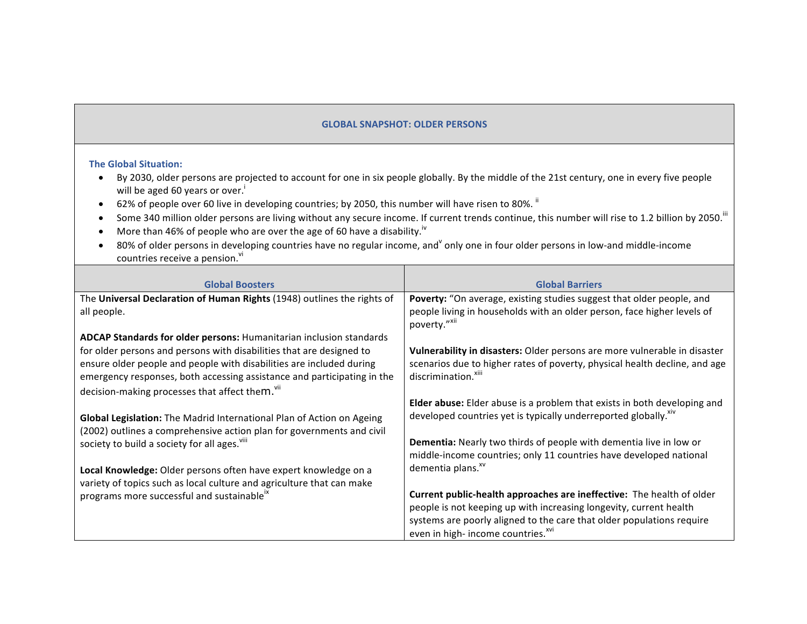## **GLOBAL SNAPSHOT: OLDER PERSONS**

## **The Global Situation:**

- By 2030, older persons are projected to account for one in six people globally. By the middle of the 21st century, one in every five people will be aged 60 years or over.<sup>1</sup>
- 62% of people over 60 live in developing countries; by 2050, this number will have risen to 80%.  $^{\text{ii}}$
- Some 340 million older persons are living without any secure income. If current trends continue, this number will rise to 1.2 billion by 2050.<sup>III</sup>
- More than 46% of people who are over the age of 60 have a disability.<sup>iv</sup>
- 80% of older persons in developing countries have no regular income, and only one in four older persons in low-and middle-income countries receive a pension.<sup>vi</sup>

| <b>Global Boosters</b>                                                                                                                                                                                        | <b>Global Barriers</b>                                                                                        |
|---------------------------------------------------------------------------------------------------------------------------------------------------------------------------------------------------------------|---------------------------------------------------------------------------------------------------------------|
| The Universal Declaration of Human Rights (1948) outlines the rights of                                                                                                                                       | Poverty: "On average, existing studies suggest that older people, and                                         |
| all people.                                                                                                                                                                                                   | people living in households with an older person, face higher levels of<br>poverty."XII                       |
| ADCAP Standards for older persons: Humanitarian inclusion standards                                                                                                                                           |                                                                                                               |
| for older persons and persons with disabilities that are designed to                                                                                                                                          | Vulnerability in disasters: Older persons are more vulnerable in disaster                                     |
| ensure older people and people with disabilities are included during<br>emergency responses, both accessing assistance and participating in the<br>decision-making processes that affect them. <sup>vii</sup> | scenarios due to higher rates of poverty, physical health decline, and age<br>discrimination. <sup>xiii</sup> |
|                                                                                                                                                                                                               | Elder abuse: Elder abuse is a problem that exists in both developing and                                      |
| Global Legislation: The Madrid International Plan of Action on Ageing<br>(2002) outlines a comprehensive action plan for governments and civil                                                                | developed countries yet is typically underreported globally. Xiv                                              |
| society to build a society for all ages. Vill                                                                                                                                                                 | <b>Dementia:</b> Nearly two thirds of people with dementia live in low or                                     |
|                                                                                                                                                                                                               | middle-income countries; only 11 countries have developed national                                            |
| Local Knowledge: Older persons often have expert knowledge on a<br>variety of topics such as local culture and agriculture that can make                                                                      | dementia plans. <sup>xv</sup>                                                                                 |
| programs more successful and sustainable <sup>ix</sup>                                                                                                                                                        | Current public-health approaches are ineffective: The health of older                                         |
|                                                                                                                                                                                                               | people is not keeping up with increasing longevity, current health                                            |
|                                                                                                                                                                                                               | systems are poorly aligned to the care that older populations require                                         |
|                                                                                                                                                                                                               | even in high-income countries. <sup>xvi</sup>                                                                 |